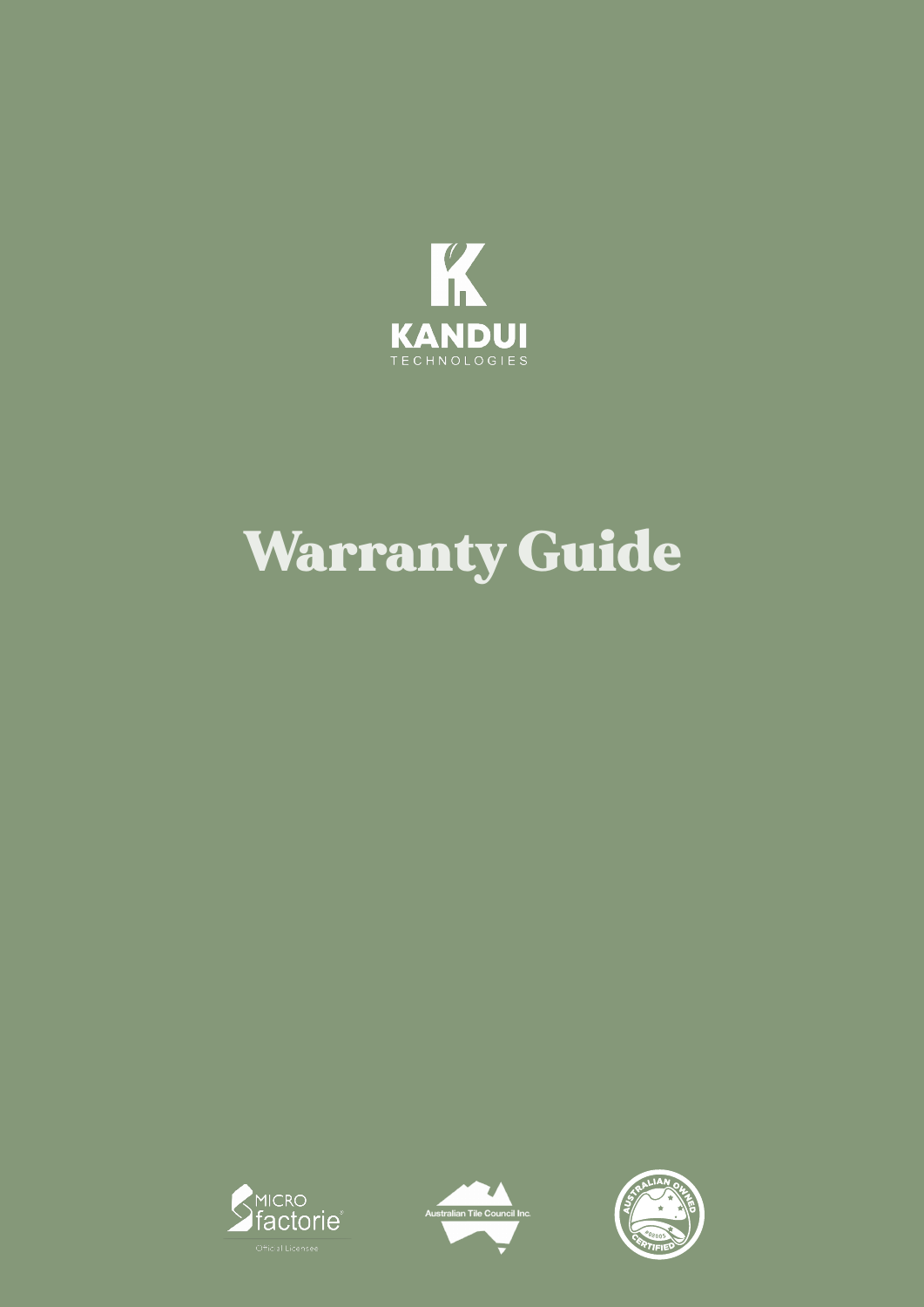

# Warranty Guide





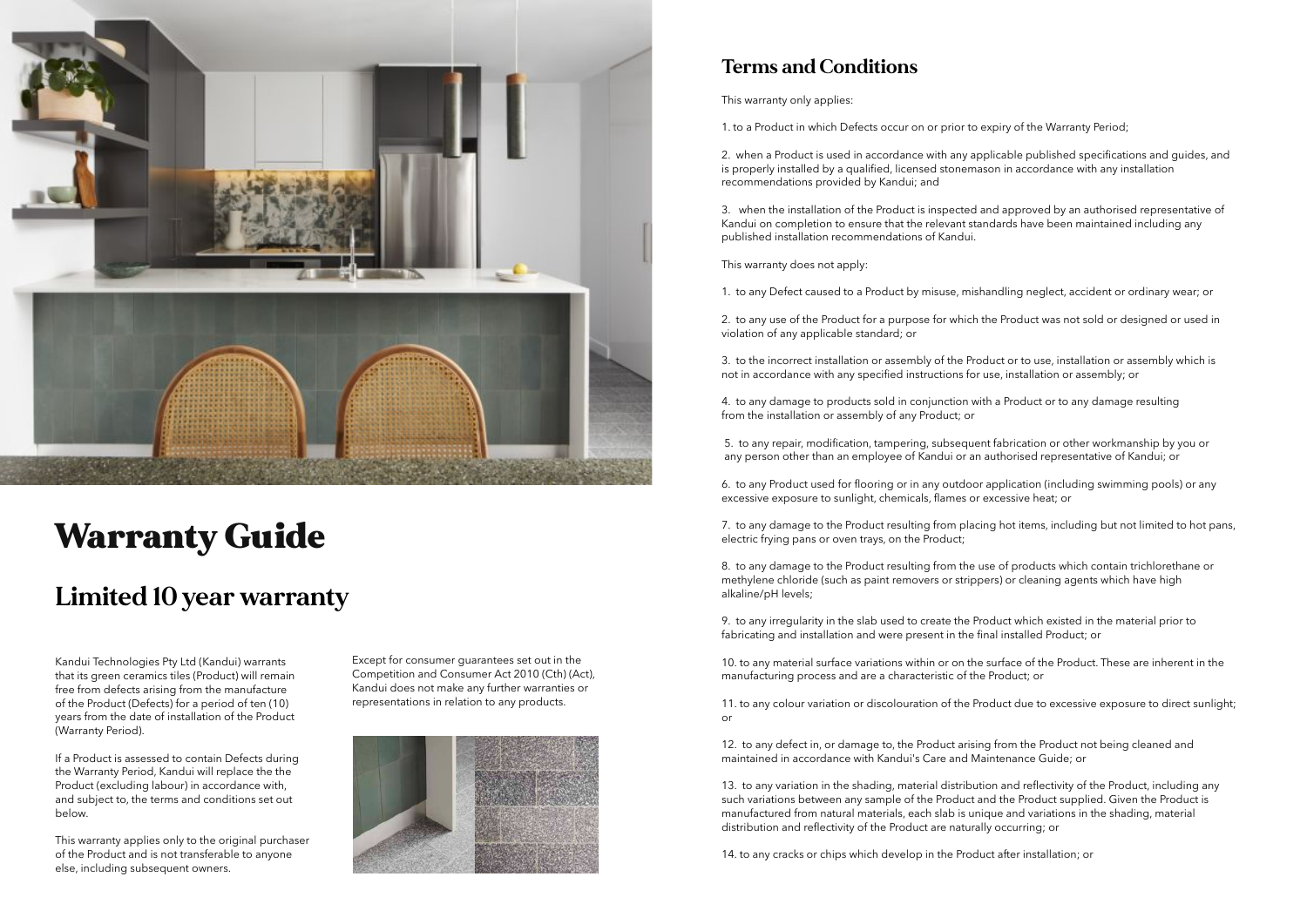### **Limited 10 year warranty**

Kandui Technologies Pty Ltd (Kandui) warrants that its green ceramics tiles (Product) will remain free from defects arising from the manufacture of the Product (Defects) for a period of ten (10) years from the date of installation of the Product (Warranty Period).

If a Product is assessed to contain Defects during the Warranty Period, Kandui will replace the the Product (excluding labour) in accordance with, and subject to, the terms and conditions set out below.

This warranty applies only to the original purchaser of the Product and is not transferable to anyone else, including subsequent owners.

#### **Terms and Conditions**

This warranty only applies:

1. to a Product in which Defects occur on or prior to expiry of the Warranty Period;

2. when a Product is used in accordance with any applicable published specifications and guides, and is properly installed by a qualified, licensed stonemason in accordance with any installation recommendations provided by Kandui; and

3. when the installation of the Product is inspected and approved by an authorised representative of Kandui on completion to ensure that the relevant standards have been maintained including any published installation recommendations of Kandui.

This warranty does not apply:

1. to any Defect caused to a Product by misuse, mishandling neglect, accident or ordinary wear; or

2. to any use of the Product for a purpose for which the Product was not sold or designed or used in violation of any applicable standard; or

3. to the incorrect installation or assembly of the Product or to use, installation or assembly which is not in accordance with any specified instructions for use, installation or assembly; or

4. to any damage to products sold in conjunction with a Product or to any damage resulting from the installation or assembly of any Product; or

 5. to any repair, modification, tampering, subsequent fabrication or other workmanship by you or any person other than an employee of Kandui or an authorised representative of Kandui; or

6. to any Product used for flooring or in any outdoor application (including swimming pools) or any excessive exposure to sunlight, chemicals, flames or excessive heat; or

7. to any damage to the Product resulting from placing hot items, including but not limited to hot pans, electric frying pans or oven trays, on the Product;

8. to any damage to the Product resulting from the use of products which contain trichlorethane or methylene chloride (such as paint removers or strippers) or cleaning agents which have high alkaline/pH levels;

9. to any irregularity in the slab used to create the Product which existed in the material prior to fabricating and installation and were present in the final installed Product; or

10. to any material surface variations within or on the surface of the Product. These are inherent in the manufacturing process and are a characteristic of the Product; or

11. to any colour variation or discolouration of the Product due to excessive exposure to direct sunlight; or

12. to any defect in, or damage to, the Product arising from the Product not being cleaned and maintained in accordance with Kandui's Care and Maintenance Guide; or

13. to any variation in the shading, material distribution and reflectivity of the Product, including any such variations between any sample of the Product and the Product supplied. Given the Product is manufactured from natural materials, each slab is unique and variations in the shading, material distribution and reflectivity of the Product are naturally occurring; or

14. to any cracks or chips which develop in the Product after installation; or



## Warranty Guide

Except for consumer guarantees set out in the Competition and Consumer Act 2010 (Cth) (Act), Kandui does not make any further warranties or representations in relation to any products.